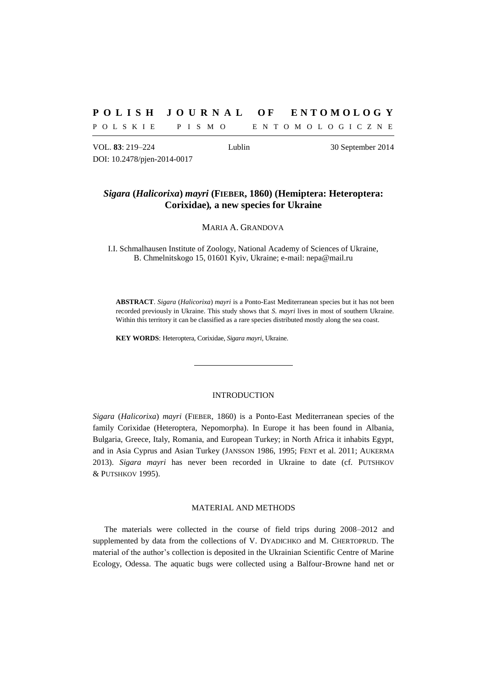# **P O L I S H J O U R N A L O F E N T O M O L O G Y**

P O L S K I E P I S M O B N T O M O L O G I C Z N E

VOL. **83**: 219–224 Lublin 30 September 2014 DOI: 10.2478/pjen-2014-0017

# *Sigara* **(***Halicorixa***)** *mayri* **(FIEBER, 1860) (Hemiptera: Heteroptera: Corixidae)***,* **a new species for Ukraine**

MARIA A. GRANDOVA

I.I. Schmalhausen Institute of Zoology, National Academy of Sciences of Ukraine, B. Chmelnitskogo 15, 01601 Kyiv, Ukraine; e-mail: nepa@mail.ru

**ABSTRACT**. *Sigara* (*Halicorixa*) *mayri* is a Ponto-East Mediterranean species but it has not been recorded previously in Ukraine. This study shows that *S. mayri* lives in most of southern Ukraine. Within this territory it can be classified as a rare species distributed mostly along the sea coast.

**KEY WORDS**: Heteroptera, Corixidae, *Sigara mayri*, Ukraine.

### INTRODUCTION

*Sigara* (*Halicorixa*) *mayri* (FIEBER, 1860) is a Ponto-East Mediterranean species of the family Corixidae (Heteroptera, Nepomorpha). In Europe it has been found in Albania, Bulgaria, Greece, Italy, Romania, and European Turkey; in North Africa it inhabits Egypt, and in Asia Cyprus and Asian Turkey (JANSSON 1986, 1995; FENT et al. 2011; AUKERMA 2013). *Sigara mayri* has never been recorded in Ukraine to date (cf. PUTSHKOV & PUTSHKOV 1995).

# MATERIAL AND METHODS

The materials were collected in the course of field trips during 2008–2012 and supplemented by data from the collections of V. DYADICHKO and M. CHERTOPRUD. The material of the author's collection is deposited in the Ukrainian Scientific Centre of Marine Ecology, Odessa. The aquatic bugs were collected using a Balfour-Browne hand net or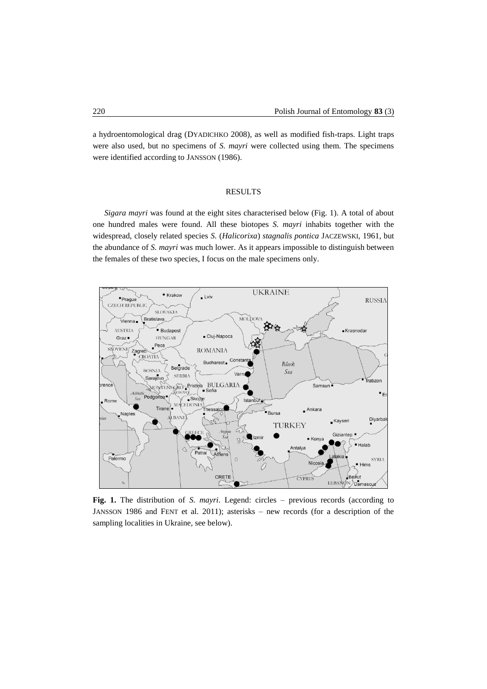a hydroentomological drag (DYADICHKO 2008), as well as modified fish-traps. Light traps were also used, but no specimens of *S. mayri* were collected using them. The specimens were identified according to JANSSON (1986).

### RESULTS

*Sigara mayri* was found at the eight sites characterised below (Fig. 1). A total of about one hundred males were found. All these biotopes *S. mayri* inhabits together with the widespread, closely related species *S.* (*Halicorixa*) *stagnalis pontica* JACZEWSKI, 1961, but the abundance of *S. mayri* was much lower. As it appears impossible to distinguish between the females of these two species, I focus on the male specimens only.



**Fig. 1.** The distribution of *S. mayri*. Legend: circles – previous records (according to JANSSON 1986 and FENT et al. 2011); asterisks – new records (for a description of the sampling localities in Ukraine, see below).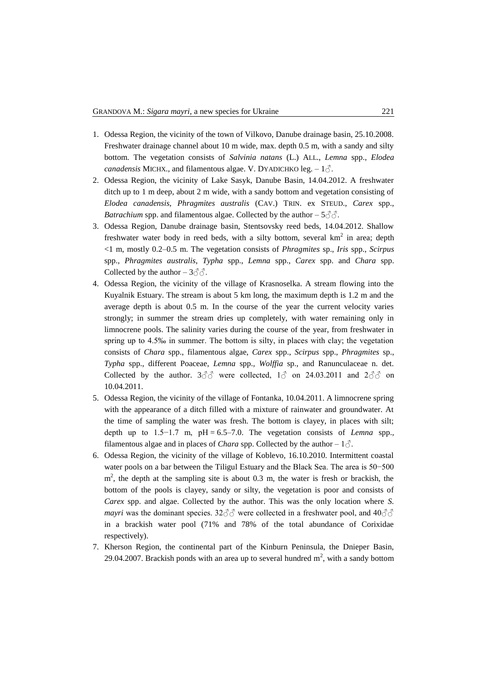- 1. Odessa Region, the vicinity of the town of Vilkovo, Danube drainage basin, 25.10.2008. Freshwater drainage channel about 10 m wide, max. depth 0.5 m, with a sandy and silty bottom. The vegetation consists of *Salvinia natans* (L.) ALL., *Lemna* spp.*, Elodea canadensis* MICHX., and filamentous algae. V. DYADICHKO leg.  $-1\delta$ .
- 2. Odessa Region, the vicinity of Lake Sasyk, Danube Basin, 14.04.2012. A freshwater ditch up to 1 m deep, about 2 m wide, with a sandy bottom and vegetation consisting of *Elodea canadensis*, *Phragmites australis* (CAV.) TRIN. ex STEUD., *Carex* spp., *Batrachium* spp. and filamentous algae. Collected by the author  $-5\degree\degree\degree$ .
- 3. Odessa Region, Danube drainage basin, Stentsovsky reed beds, 14.04.2012. Shallow freshwater water body in reed beds, with a silty bottom, several  $km<sup>2</sup>$  in area; depth <1 m, mostly 0.2–0.5 m. The vegetation consists of *Phragmites* sp., *Iris* spp., *Scirpus*  spp., *Phragmites australis*, *Typha* spp., *Lemna* spp.*, Carex* spp. and *Chara* spp. Collected by the author  $-3\text{O}$ .
- 4. Odessa Region, the vicinity of the village of Krasnoselka. A stream flowing into the Kuyalnik Estuary. The stream is about 5 km long, the maximum depth is 1.2 m and the average depth is about 0.5 m. In the course of the year the current velocity varies strongly; in summer the stream dries up completely, with water remaining only in limnocrene pools. The salinity varies during the course of the year, from freshwater in spring up to 4.5‰ in summer. The bottom is silty, in places with clay; the vegetation consists of *Chara* spp., filamentous algae, *Carex* spp., *Scirpus* spp., *Phragmites* sp., *Typha* spp., different Poaceae, *Lemna* spp.*, Wolffia* sp., and Ranunculaceae n. det. Collected by the author.  $3\text{ or } 3\text{ or } 24.03.2011$  and  $2\text{ or } 3\text{ or } 3\text{ or } 24.03.2011$ 10.04.2011.
- 5. Odessa Region, the vicinity of the village of Fontanka, 10.04.2011. A limnocrene spring with the appearance of a ditch filled with a mixture of rainwater and groundwater. At the time of sampling the water was fresh. The bottom is clayey, in places with silt; depth up to 1.5−1.7 m, рН = 6.5–7.0. The vegetation consists of *Lemna* spp.*,*  filamentous algae and in places of *Chara* spp. Collected by the author  $-1\zeta$ .
- 6. Odessa Region, the vicinity of the village of Koblevo, 16.10.2010. Intermittent coastal water pools on a bar between the Tiligul Estuary and the Black Sea. The area is 50−500  $m<sup>2</sup>$ , the depth at the sampling site is about 0.3 m, the water is fresh or brackish, the bottom of the pools is clayey, sandy or silty, the vegetation is poor and consists of *Carex* spp. and algae. Collected by the author. This was the only location where *S. mayri* was the dominant species. 32 $\partial \partial \partial$  were collected in a freshwater pool, and 40 $\partial \partial$ in a brackish water pool (71% and 78% of the total abundance of Corixidae respectively).
- 7. Kherson Region, the continental part of the Kinburn Peninsula, the Dnieper Basin, 29.04.2007. Brackish ponds with an area up to several hundred  $m<sup>2</sup>$ , with a sandy bottom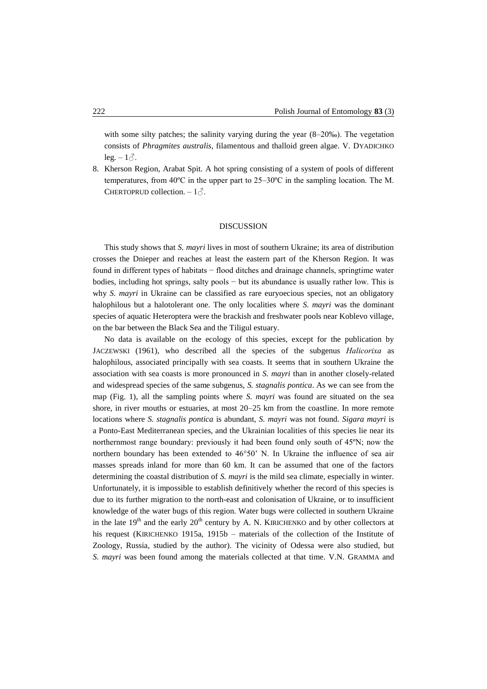with some silty patches; the salinity varying during the year (8–20‰). The vegetation consists of *Phragmites australis*, filamentous and thalloid green algae. V. DYADICHKO leg.  $-1\delta$ .

8. Kherson Region, Arabat Spit. A hot spring consisting of a system of pools of different temperatures, from 40ºC in the upper part to 25–30ºC in the sampling location. The M. CHERTOPRUD collection.  $-1\delta$ .

### DISCUSSION

This study shows that *S. mayri* lives in most of southern Ukraine; its area of distribution crosses the Dnieper and reaches at least the eastern part of the Kherson Region. It was found in different types of habitats − flood ditches and drainage channels, springtime water bodies, including hot springs, salty pools − but its abundance is usually rather low. This is why *S. mayri* in Ukraine can be classified as rare euryoecious species, not an obligatory halophilous but a halotolerant one. The only localities where *S. mayri* was the dominant species of aquatic Heteroptera were the brackish and freshwater pools near Koblevo village, on the bar between the Black Sea and the Tiligul estuary.

No data is available on the ecology of this species, except for the publication by JACZEWSKI (1961), who described all the species of the subgenus *Нalicorixa* as halophilous, associated principally with sea coasts. It seems that in southern Ukraine the association with sea coasts is more pronounced in *S. mayri* than in another closely-related and widespread species of the same subgenus, *S. stagnalis pontica*. As we can see from the map (Fig. 1), all the sampling points where *S. mayri* was found are situated on the sea shore, in river mouths or estuaries, at most 20–25 km from the coastline. In more remote locations where *S. stagnalis pontica* is abundant, *S. mayri* was not found. *Sigara mayri* is a Ponto-East Mediterranean species, and the Ukrainian localities of this species lie near its northernmost range boundary: previously it had been found only south of 45ºN; now the northern boundary has been extended to 46°50' N. In Ukraine the influence of sea air masses spreads inland for more than 60 km. It can be assumed that one of the factors determining the coastal distribution of *S. mayri* is the mild sea climate, especially in winter. Unfortunately, it is impossible to establish definitively whether the record of this species is due to its further migration to the north-east and colonisation of Ukraine, or to insufficient knowledge of the water bugs of this region. Water bugs were collected in southern Ukraine in the late  $19<sup>th</sup>$  and the early  $20<sup>th</sup>$  century by A. N. KIRICHENKO and by other collectors at his request (KIRICHENKO 1915a, 1915b – materials of the collection of the Institute of Zoology, Russia, studied by the author). The vicinity of Odessa were also studied, but *S. mayri* was been found among the materials collected at that time. V.N. GRAMMA and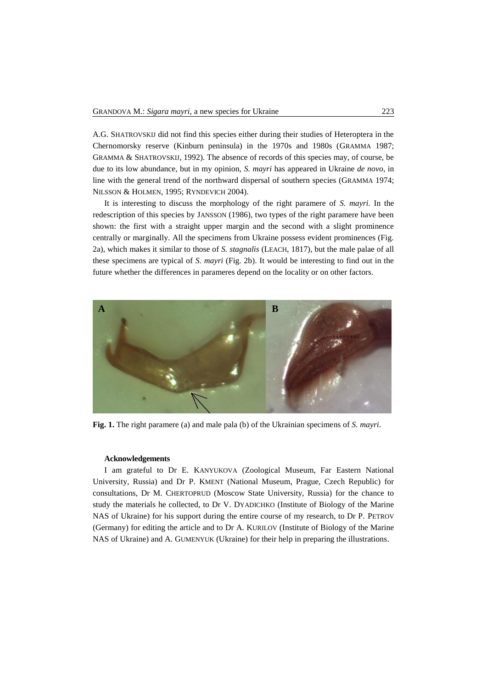A.G. SHATROVSKIJ did not find this species either during their studies of Heteroptera in the Chernomorsky reserve (Kinburn peninsula) in the 1970s and 1980s (GRAMMA 1987; GRAMMA & SHATROVSKIJ, 1992). The absence of records of this species may, of course, be due to its low abundance, but in my opinion, *S. mayri* has appeared in Ukraine *de novo*, in line with the general trend of the northward dispersal of southern species (GRAMMA 1974; NILSSON & HOLMEN, 1995; RYNDEVICH 2004).

It is interesting to discuss the morphology of the right paramere of *S. mayri.* In the redescription of this species by JANSSON (1986), two types of the right paramere have been shown: the first with a straight upper margin and the second with a slight prominence centrally or marginally. All the specimens from Ukraine possess evident prominences (Fig. 2a), which makes it similar to those of *S. stagnalis* (LEACH, 1817), but the male palae of all these specimens are typical of *S. mayri* (Fig. 2b). It would be interesting to find out in the future whether the differences in parameres depend on the locality or on other factors.



**Fig. 1.** The right paramere (a) and male pala (b) of the Ukrainian specimens of *S. mayri*.

#### **Acknowledgements**

I am grateful to Dr E. KANYUKOVA (Zoological Museum, Far Eastern National University, Russia) and Dr P. KMENT (National Museum, Prague, Czech Republic) for consultations, Dr M. CHERTOPRUD (Moscow State University, Russia) for the chance to study the materials he collected, to Dr V. DYADICHKO (Institute of Biology of the Marine NAS of Ukraine) for his support during the entire course of my research, to Dr P. PETROV (Germany) for editing the article and to Dr A. KURILOV (Institute of Biology of the Marine NAS of Ukraine) and A. GUMENYUK (Ukraine) for their help in preparing the illustrations.